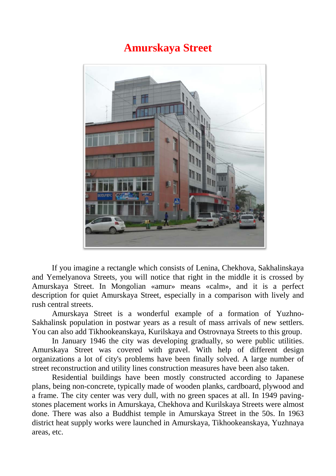## **Amurskaya Street**



If you imagine a rectangle which consists of Lenina, Chekhova, Sakhalinskaya and Yemelyanova Streets, you will notice that right in the middle it is crossed by Amurskaya Street. In Mongolian «amur» means «calm», and it is a perfect description for quiet Amurskaya Street, especially in a comparison with lively and rush central streets.

Amurskaya Street is a wonderful example of a formation of Yuzhno-Sakhalinsk population in postwar years as a result of mass arrivals of new settlers. You can also add Tikhookeanskaya, Kurilskaya and Ostrovnaya Streets to this group.

In January 1946 the city was developing gradually, so were public utilities. Amurskaya Street was covered with gravel. With help of different design organizations a lot of city's problems have been finally solved. A large number of street reconstruction and utility lines construction measures have been also taken.

Residential buildings have been mostly constructed according to Japanese plans, being non-concrete, typically made of wooden planks, cardboard, plywood and a frame. The city center was very dull, with no green spaces at all. In 1949 pavingstones placement works in Amurskaya, Chekhova and Kurilskaya Streets were almost done. There was also a Buddhist temple in Amurskaya Street in the 50s. In 1963 district heat supply works were launched in Amurskaya, Tikhookeanskaya, Yuzhnaya areas, etc.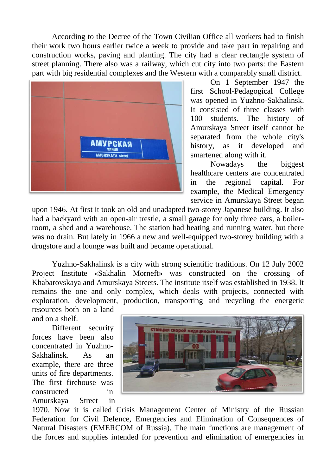According to the Decree of the Town Civilian Office all workers had to finish their work two hours earlier twice a week to provide and take part in repairing and construction works, paving and planting. The city had a clear rectangle system of street planning. There also was a railway, which cut city into two parts: the Eastern part with big residential complexes and the Western with a comparably small district.



On 1 September 1947 the first School-Pedagogical College was opened in Yuzhno-Sakhalinsk. It consisted of three classes with 100 students. The history of Amurskaya Street itself cannot be separated from the whole city's history, as it developed and smartened along with it.

Nowadays the biggest healthcare centers are concentrated in the regional capital. For example, the Medical Emergency service in Amurskaya Street began

upon 1946. At first it took an old and unadapted two-storey Japanese building. It also had a backyard with an open-air trestle, a small garage for only three cars, a boilerroom, a shed and a warehouse. The station had heating and running water, but there was no drain. But lately in 1966 a new and well-equipped two-storey building with a drugstore and a lounge was built and became operational.

Yuzhno-Sakhalinsk is a city with strong scientific traditions. On 12 July 2002 Project Institute «Sakhalin Morneft» was constructed on the crossing of Khabarovskaya and Amurskaya Streets. The institute itself was established in 1938. It remains the one and only complex, which deals with projects, connected with exploration, development, production, transporting and recycling the energetic

resources both on a land and on a shelf.

Different security forces have been also concentrated in Yuzhno-Sakhalinsk. As an example, there are three units of fire departments. The first firehouse was constructed in Amurskaya Street in



1970. Now it is called Crisis Management Center of Ministry of the Russian Federation for Civil Defence, Emergencies and Elimination of Consequences of Natural Disasters (EMERCOM of Russia). The main functions are management of the forces and supplies intended for prevention and elimination of emergencies in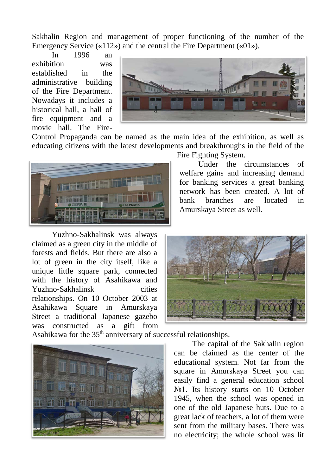Sakhalin Region and management of proper functioning of the number of the Emergency Service («112») and the central the Fire Department («01»).

In 1996 an exhibition was established in the administrative building of the Fire Department. Nowadays it includes a historical hall, a hall of fire equipment and a movie hall. The Fire-



Control Propaganda can be named as the main idea of the exhibition, as well as educating citizens with the latest developments and breakthroughs in the field of the



Yuzhno-Sakhalinsk was always claimed as a green city in the middle of forests and fields. But there are also a lot of green in the city itself, like a unique little square park, connected with the history of Asahikawa and Yuzhno-Sakhalinsk cities relationships. On 10 October 2003 at Asahikawa Square in Amurskaya Street a traditional Japanese gazebo was constructed as a gift from Fire Fighting System.

Under the circumstances of welfare gains and increasing demand for banking services a great banking network has been created. A lot of bank branches are located in Amurskaya Street as well.



Asahikawa for the  $35<sup>th</sup>$  anniversary of successful relationships.



The capital of the Sakhalin region can be claimed as the center of the educational system. Not far from the square in Amurskaya Street you can easily find a general education school No<sub>2</sub>1. Its history starts on 10 October 1945, when the school was opened in one of the old Japanese huts. Due to a great lack of teachers, a lot of them were sent from the military bases. There was no electricity; the whole school was lit